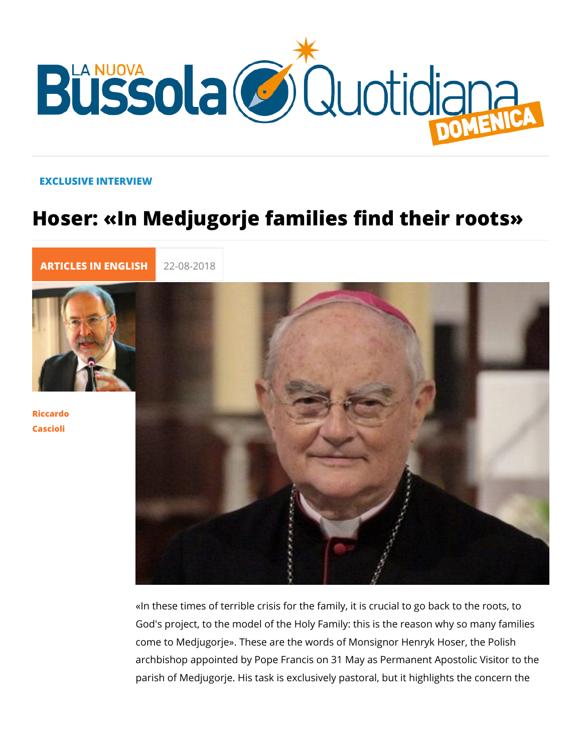#### EXCLUSIVE INTERVIEW

# Hoser: «In Medjugorje families find the

[ARTICLES IN E](https://lanuovabq.it/it/articles-in-english)N 22-08-2018

[Riccar](/it/riccardo-cascioli)do [Casci](/it/riccardo-cascioli)oli

> «In these times of terrible crisis for the family, it is crucial to God's project, to the model of the Holy Family: this is the reas come to Medjugorje». These are the words of Monsignor Henry archbishop appointed by Pope Francis on 31 May as Permanen parish of Medjugorje. His task is exclusively pastoral, but it h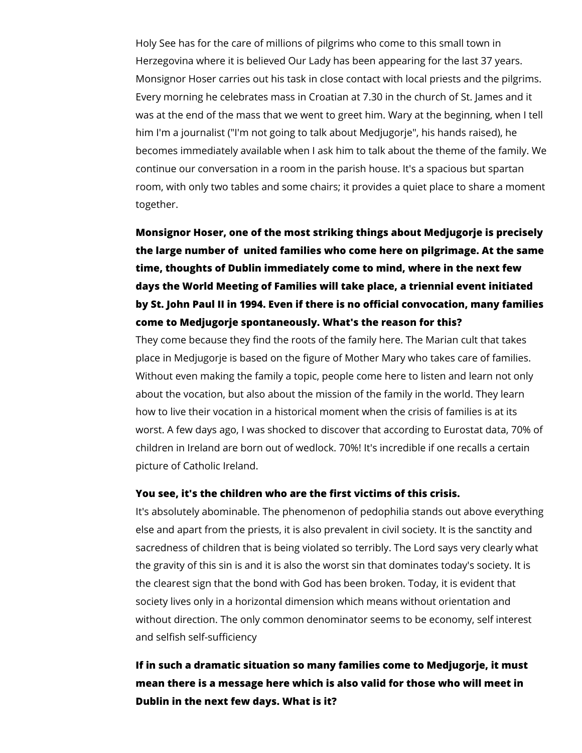Holy See has for the care of millions of pilgrims who come to this small town in Herzegovina where it is believed Our Lady has been appearing for the last 37 years. Monsignor Hoser carries out his task in close contact with local priests and the pilgrims. Every morning he celebrates mass in Croatian at 7.30 in the church of St. James and it was at the end of the mass that we went to greet him. Wary at the beginning, when I tell him I'm a journalist ("I'm not going to talk about Medjugorje", his hands raised), he becomes immediately available when I ask him to talk about the theme of the family. We continue our conversation in a room in the parish house. It's a spacious but spartan room, with only two tables and some chairs; it provides a quiet place to share a moment together.

## **Monsignor Hoser, one of the most striking things about Medjugorje is precisely the large number of united families who come here on pilgrimage. At the same time, thoughts of Dublin immediately come to mind, where in the next few days the World Meeting of Families will take place, a triennial event initiated by St. John Paul II in 1994. Even if there is no official convocation, many families come to Medjugorje spontaneously. What's the reason for this?**

They come because they find the roots of the family here. The Marian cult that takes place in Medjugorje is based on the figure of Mother Mary who takes care of families. Without even making the family a topic, people come here to listen and learn not only about the vocation, but also about the mission of the family in the world. They learn how to live their vocation in a historical moment when the crisis of families is at its worst. A few days ago, I was shocked to discover that according to Eurostat data, 70% of children in Ireland are born out of wedlock. 70%! It's incredible if one recalls a certain picture of Catholic Ireland.

#### **You see, it's the children who are the first victims of this crisis.**

It's absolutely abominable. The phenomenon of pedophilia stands out above everything else and apart from the priests, it is also prevalent in civil society. It is the sanctity and sacredness of children that is being violated so terribly. The Lord says very clearly what the gravity of this sin is and it is also the worst sin that dominates today's society. It is the clearest sign that the bond with God has been broken. Today, it is evident that society lives only in a horizontal dimension which means without orientation and without direction. The only common denominator seems to be economy, self interest and selfish self-sufficiency

### **If in such a dramatic situation so many families come to Medjugorje, it must mean there is a message here which is also valid for those who will meet in Dublin in the next few days. What is it?**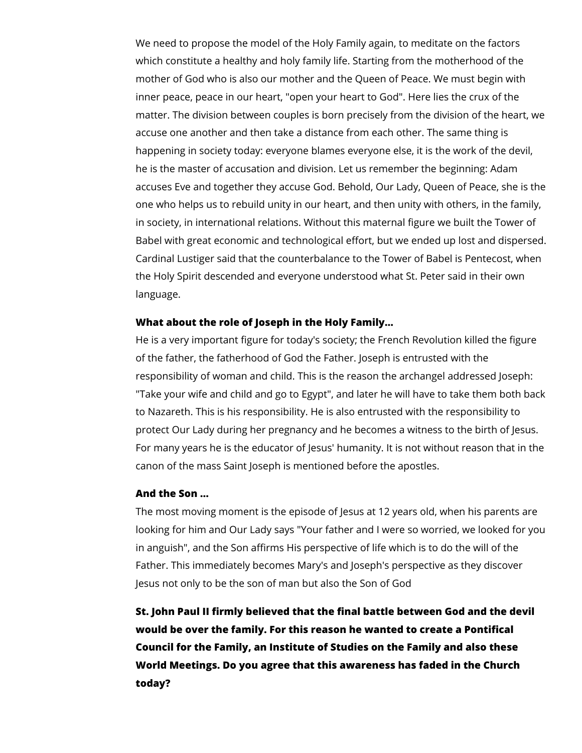We need to propose the model of the Holy Family again, to meditate on the factors which constitute a healthy and holy family life. Starting from the motherhood of the mother of God who is also our mother and the Queen of Peace. We must begin with inner peace, peace in our heart, "open your heart to God". Here lies the crux of the matter. The division between couples is born precisely from the division of the heart, we accuse one another and then take a distance from each other. The same thing is happening in society today: everyone blames everyone else, it is the work of the devil, he is the master of accusation and division. Let us remember the beginning: Adam accuses Eve and together they accuse God. Behold, Our Lady, Queen of Peace, she is the one who helps us to rebuild unity in our heart, and then unity with others, in the family, in society, in international relations. Without this maternal figure we built the Tower of Babel with great economic and technological effort, but we ended up lost and dispersed. Cardinal Lustiger said that the counterbalance to the Tower of Babel is Pentecost, when the Holy Spirit descended and everyone understood what St. Peter said in their own language.

#### **What about the role of Joseph in the Holy Family...**

He is a very important figure for today's society; the French Revolution killed the figure of the father, the fatherhood of God the Father. Joseph is entrusted with the responsibility of woman and child. This is the reason the archangel addressed Joseph: "Take your wife and child and go to Egypt", and later he will have to take them both back to Nazareth. This is his responsibility. He is also entrusted with the responsibility to protect Our Lady during her pregnancy and he becomes a witness to the birth of Jesus. For many years he is the educator of Jesus' humanity. It is not without reason that in the canon of the mass Saint Joseph is mentioned before the apostles.

#### **And the Son ...**

The most moving moment is the episode of Jesus at 12 years old, when his parents are looking for him and Our Lady says "Your father and I were so worried, we looked for you in anguish", and the Son affirms His perspective of life which is to do the will of the Father. This immediately becomes Mary's and Joseph's perspective as they discover Jesus not only to be the son of man but also the Son of God

**St. John Paul II firmly believed that the final battle between God and the devil would be over the family. For this reason he wanted to create a Pontifical Council for the Family, an Institute of Studies on the Family and also these World Meetings. Do you agree that this awareness has faded in the Church today?**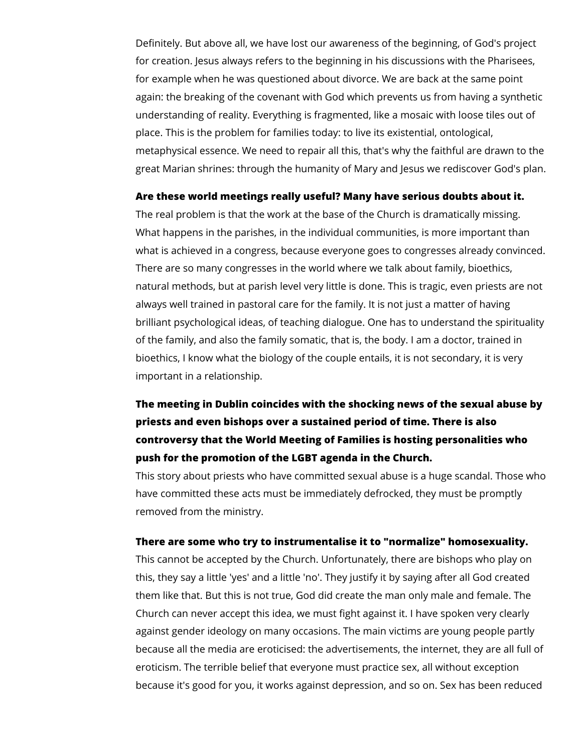Definitely. But above all, we have lost our awareness of the beginning, of God's project for creation. Jesus always refers to the beginning in his discussions with the Pharisees, for example when he was questioned about divorce. We are back at the same point again: the breaking of the covenant with God which prevents us from having a synthetic understanding of reality. Everything is fragmented, like a mosaic with loose tiles out of place. This is the problem for families today: to live its existential, ontological, metaphysical essence. We need to repair all this, that's why the faithful are drawn to the great Marian shrines: through the humanity of Mary and Jesus we rediscover God's plan.

#### **Are these world meetings really useful? Many have serious doubts about it.**

The real problem is that the work at the base of the Church is dramatically missing. What happens in the parishes, in the individual communities, is more important than what is achieved in a congress, because everyone goes to congresses already convinced. There are so many congresses in the world where we talk about family, bioethics, natural methods, but at parish level very little is done. This is tragic, even priests are not always well trained in pastoral care for the family. It is not just a matter of having brilliant psychological ideas, of teaching dialogue. One has to understand the spirituality of the family, and also the family somatic, that is, the body. I am a doctor, trained in bioethics, I know what the biology of the couple entails, it is not secondary, it is very important in a relationship.

### **The meeting in Dublin coincides with the shocking news of the sexual abuse by priests and even bishops over a sustained period of time. There is also controversy that the World Meeting of Families is hosting personalities who push for the promotion of the LGBT agenda in the Church.**

This story about priests who have committed sexual abuse is a huge scandal. Those who have committed these acts must be immediately defrocked, they must be promptly removed from the ministry.

#### **There are some who try to instrumentalise it to "normalize" homosexuality.**

This cannot be accepted by the Church. Unfortunately, there are bishops who play on this, they say a little 'yes' and a little 'no'. They justify it by saying after all God created them like that. But this is not true, God did create the man only male and female. The Church can never accept this idea, we must fight against it. I have spoken very clearly against gender ideology on many occasions. The main victims are young people partly because all the media are eroticised: the advertisements, the internet, they are all full of eroticism. The terrible belief that everyone must practice sex, all without exception because it's good for you, it works against depression, and so on. Sex has been reduced